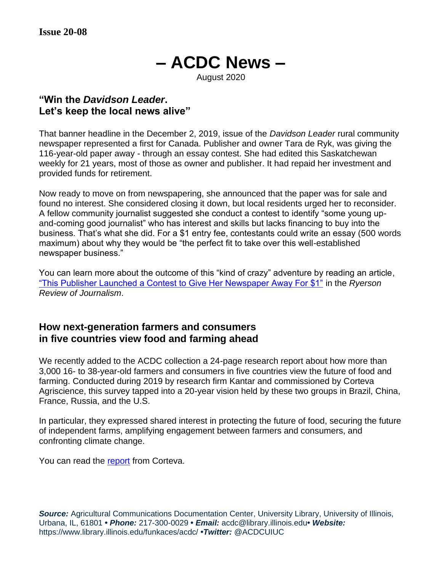# **– ACDC News –**

#### August 2020

#### **"Win the** *Davidson Leader***. Let's keep the local news alive"**

That banner headline in the December 2, 2019, issue of the *Davidson Leader* rural community newspaper represented a first for Canada. Publisher and owner Tara de Ryk, was giving the 116-year-old paper away - through an essay contest. She had edited this Saskatchewan weekly for 21 years, most of those as owner and publisher. It had repaid her investment and provided funds for retirement.

Now ready to move on from newspapering, she announced that the paper was for sale and found no interest. She considered closing it down, but local residents urged her to reconsider. A fellow community journalist suggested she conduct a contest to identify "some young upand-coming good journalist" who has interest and skills but lacks financing to buy into the business. That's what she did. For a \$1 entry fee, contestants could write an essay (500 words maximum) about why they would be "the perfect fit to take over this well-established newspaper business."

You can learn more about the outcome of this "kind of crazy" adventure by reading an article, ["This Publisher Launched a Contest to Give Her Newspaper Away For \\$1"](https://rrj.ca/this-publisher-launched-a-contest-to-give-her-newspaper-away-for-1/) in the *Ryerson Review of Journalism*.

#### **How next-generation farmers and consumers in five countries view food and farming ahead**

We recently added to the ACDC collection a 24-page research report about how more than 3,000 16- to 38-year-old farmers and consumers in five countries view the future of food and farming. Conducted during 2019 by research firm Kantar and commissioned by Corteva Agriscience, this survey tapped into a 20-year vision held by these two groups in Brazil, China, France, Russia, and the U.S.

In particular, they expressed shared interest in protecting the future of food, securing the future of independent farms, amplifying engagement between farmers and consumers, and confronting climate change.

You can read the [report](https://www.corteva.com/resources/feature-stories/nextgenfarming.html) from Corteva.

**Source:** Agricultural Communications Documentation Center, University Library, University of Illinois, Urbana, IL, 61801 **•** *Phone:* 217-300-0029 **•** *Email:* acdc@library.illinois.edu**•** *Website:* https://www.library.illinois.edu/funkaces/acdc/ **•***Twitter:* @ACDCUIUC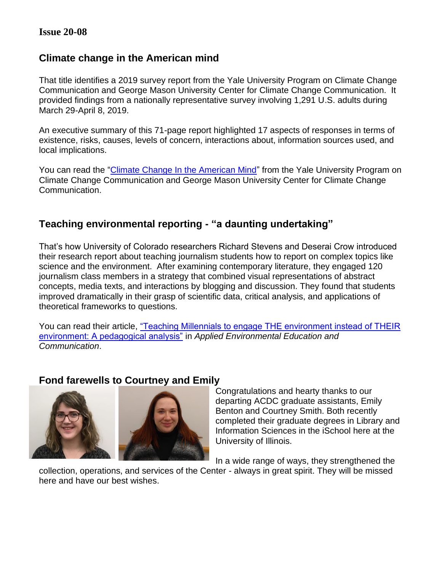## **Climate change in the American mind**

That title identifies a 2019 survey report from the Yale University Program on Climate Change Communication and George Mason University Center for Climate Change Communication. It provided findings from a nationally representative survey involving 1,291 U.S. adults during March 29-April 8, 2019.

An executive summary of this 71-page report highlighted 17 aspects of responses in terms of existence, risks, causes, levels of concern, interactions about, information sources used, and local implications.

You can read the ["Climate Change In the American Mind"](https://climatecommunication.yale.edu/wp-content/uploads/2019/06/Climate_Change_American_Mind_April_2019c.pdf) from the Yale University Program on Climate Change Communication and George Mason University Center for Climate Change Communication.

## **Teaching environmental reporting - "a daunting undertaking"**

That's how University of Colorado researchers Richard Stevens and Deserai Crow introduced their research report about teaching journalism students how to report on complex topics like science and the environment. After examining contemporary literature, they engaged 120 journalism class members in a strategy that combined visual representations of abstract concepts, media texts, and interactions by blogging and discussion. They found that students improved dramatically in their grasp of scientific data, critical analysis, and applications of theoretical frameworks to questions.

You can read their article, ["Teaching Millennials to engage THE environment instead of THEIR](https://sciencepolicy.colorado.edu/admin/publication_files/2016.08.pdf)  [environment: A pedagogical analysis"](https://sciencepolicy.colorado.edu/admin/publication_files/2016.08.pdf) in *Applied Environmental Education and Communication*.

#### **Fond farewells to Courtney and Emily**



Congratulations and hearty thanks to our departing ACDC graduate assistants, Emily Benton and Courtney Smith. Both recently completed their graduate degrees in Library and Information Sciences in the iSchool here at the University of Illinois.

In a wide range of ways, they strengthened the

collection, operations, and services of the Center - always in great spirit. They will be missed here and have our best wishes.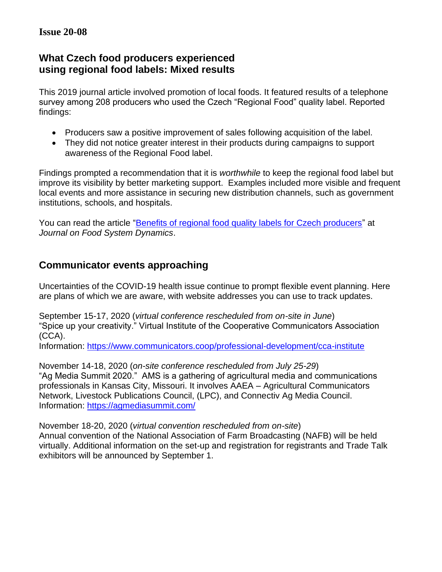## **What Czech food producers experienced using regional food labels: Mixed results**

This 2019 journal article involved promotion of local foods. It featured results of a telephone survey among 208 producers who used the Czech "Regional Food" quality label. Reported findings:

- Producers saw a positive improvement of sales following acquisition of the label.
- They did not notice greater interest in their products during campaigns to support awareness of the Regional Food label.

Findings prompted a recommendation that it is *worthwhile* to keep the regional food label but improve its visibility by better marketing support. Examples included more visible and frequent local events and more assistance in securing new distribution channels, such as government institutions, schools, and hospitals.

You can read the article ["Benefits of regional food quality labels for Czech producers"](https://dx.doi.org/10.18461/ijfsd.v10i2.12) at *Journal on Food System Dynamics*.

## **Communicator events approaching**

Uncertainties of the COVID-19 health issue continue to prompt flexible event planning. Here are plans of which we are aware, with website addresses you can use to track updates.

September 15-17, 2020 (*virtual conference rescheduled from on-site in June*) "Spice up your creativity." Virtual Institute of the Cooperative Communicators Association (CCA).

Information:<https://www.communicators.coop/>professional-development/cca-institute

November 14-18, 2020 (*on-site conference rescheduled from July 25-29*) "Ag Media Summit 2020." AMS is a gathering of agricultural media and communications professionals in Kansas City, Missouri. It involves AAEA – Agricultural Communicators Network, Livestock Publications Council, (LPC), and Connectiv Ag Media Council. Information:<https://agmediasummit.com/>

November 18-20, 2020 (*virtual convention rescheduled from on-site*) Annual convention of the National Association of Farm Broadcasting (NAFB) will be held virtually. Additional information on the set-up and registration for registrants and Trade Talk exhibitors will be announced by September 1.